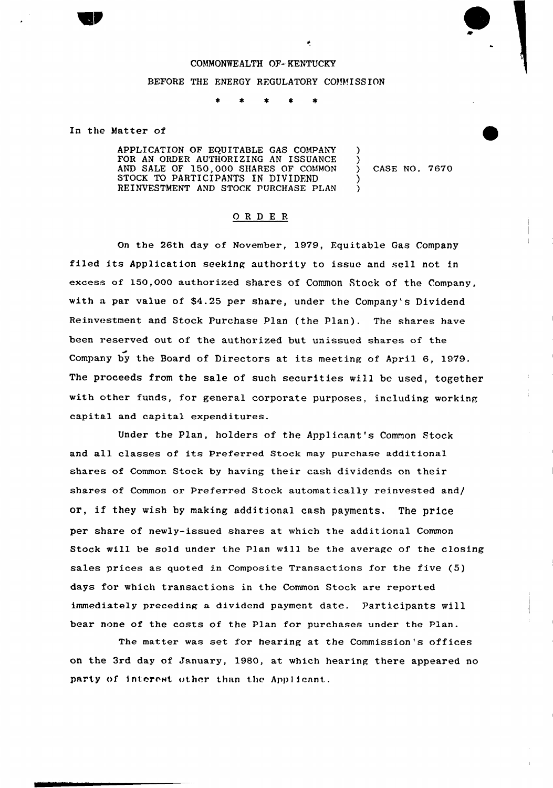## COMMONWEALTH OF- KENTUCKY BEFORE THE ENERGY REGULATORY COMMISSION

In the Matter of

APPLICATION OF EQUITABLE GAS COMPANY FOR AN ORDER AUTHORIZING AN ISSUANCE AND SALE OF 150,000 SIIARES OF COMMON STOCK TO PARTICIPANTS IN DIVIDEND REINVESTMENT AND STOCK PURCHASE PLAN

) CASE NO. 7670

) )

> ) )

## ORDER

On the 26th day of November, 1979, Fquitable Gas Company filed its Application seeking authority to issue and sell not in excess of 150,000 authorized shares of Common Stock of the Company, with a par value of \$4.25 per share, under the Company's Dividend Reinvestment and Stock Purchase Plan (the Plan). The shares have been reserved out of the authorized but unissued shares of the Company by the Board of Directors at its meeting of April 6, 1979. The proceeds from the sale of such securities will be used, together with other funds, for general corporate purposes, including working capital and capital expenditures.

Under the Plan, holders of the Applicant's Common Stock and all classes of its Preferred Stock may purchase additional shares of Common Stock by having their cash dividends on their shares of Common or Preferred Stock automatically reinvested and/ or, if they wish by making additional cash payments. The price per share of newly-issued shares at which the additional Common Stock will be sold under the Plan will be the average of the closing sales prices as quoted in Composite Transactions for the five (5) days for which transactions in the Common Stock are reported immediately preceding a dividend payment date. Participants will bear none of the costs of the Plan for purchases under the plan.

The matter was set for hearing at the Commission's offices on the 3rd day of January, 1980, at which hearing there appeared no party of interest other than the Applicant.